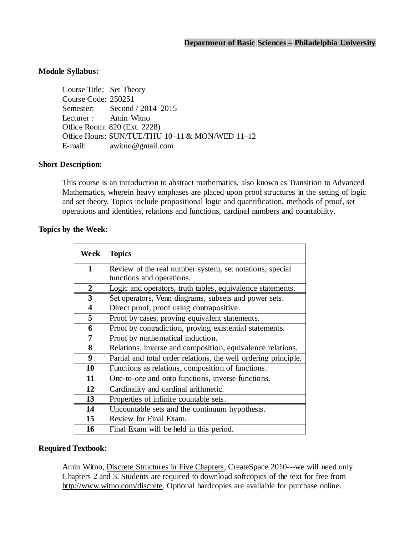## **Module Syllabus:**

Course Title: Set Theory Course Code: 250251 Semester: Second / 2014–2015 Lecturer : Amin Witno Office Room: 820 (Ext. 2228) Office Hours: SUN/TUE/THU 10-11 & MON/WED 11-12 E-mail: [awitno@gmail.com](mailto:E-mail:awitno@gmail.com)

### **Short Description:**

This course is an introduction to abstract mathematics, also known as Transition to Advanced Mathematics, wherein heavy emphases are placed upon proof structures in the setting of logic and set theory. Topics include propositional logic and quantification, methods of proof, set operations and identities, relations and functions, cardinal numbers and countability.

#### **Topics by the Week:**

| Week                    | <b>Topics</b>                                                   |  |  |
|-------------------------|-----------------------------------------------------------------|--|--|
| $\mathbf{1}$            | Review of the real number system, set notations, special        |  |  |
|                         | functions and operations.                                       |  |  |
| $\overline{2}$          | Logic and operators, truth tables, equivalence statements.      |  |  |
| $\mathbf{3}$            | Set operators, Venn diagrams, subsets and power sets.           |  |  |
| $\overline{\mathbf{4}}$ | Direct proof, proof using contrapositive.                       |  |  |
| 5                       | Proof by cases, proving equivalent statements.                  |  |  |
| 6                       | Proof by contradiction, proving existential statements.         |  |  |
| 7                       | Proof by mathematical induction.                                |  |  |
| 8                       | Relations, inverse and composition, equivalence relations.      |  |  |
| 9                       | Partial and total order relations, the well ordering principle. |  |  |
| 10                      | Functions as relations, composition of functions.               |  |  |
| 11                      | One-to-one and onto functions, inverse functions.               |  |  |
| 12                      | Cardinality and cardinal arithmetic.                            |  |  |
| 13                      | Properties of infinite countable sets.                          |  |  |
| 14                      | Uncountable sets and the continuum hypothesis.                  |  |  |
| 15                      | Review for Final Exam.                                          |  |  |
| 16                      | Final Exam will be held in this period.                         |  |  |

#### **Required Textbook:**

Amin Witno, Discrete Structures in Five Chapters, CreateSpace 2010---we will need only Chapters 2 and 3. Students are required to download softcopies of the text for free from [http://www.witno.com/discrete.](http://www.witno.com/discrete) Optional hardcopies are available for purchase online.